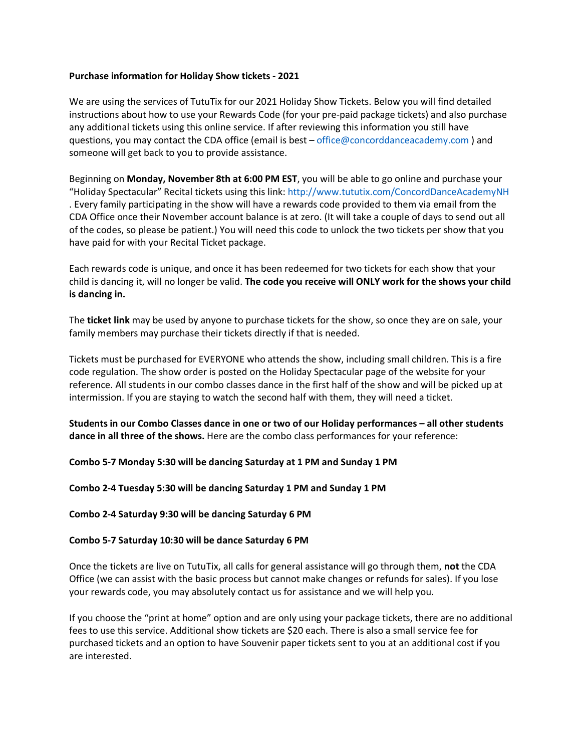### **Purchase information for Holiday Show tickets - 2021**

We are using the services of TutuTix for our 2021 Holiday Show Tickets. Below you will find detailed instructions about how to use your Rewards Code (for your pre-paid package tickets) and also purchase any additional tickets using this online service. If after reviewing this information you still have questions, you may contact the CDA office (email is best – office@concorddanceacademy.com ) and someone will get back to you to provide assistance.

Beginning on **Monday, November 8th at 6:00 PM EST**, you will be able to go online and purchase your "Holiday Spectacular" Recital tickets using this link: http://www.tututix.com/ConcordDanceAcademyNH . Every family participating in the show will have a rewards code provided to them via email from the CDA Office once their November account balance is at zero. (It will take a couple of days to send out all of the codes, so please be patient.) You will need this code to unlock the two tickets per show that you have paid for with your Recital Ticket package.

Each rewards code is unique, and once it has been redeemed for two tickets for each show that your child is dancing it, will no longer be valid. **The code you receive will ONLY work for the shows your child is dancing in.**

The **ticket link** may be used by anyone to purchase tickets for the show, so once they are on sale, your family members may purchase their tickets directly if that is needed.

Tickets must be purchased for EVERYONE who attends the show, including small children. This is a fire code regulation. The show order is posted on the Holiday Spectacular page of the website for your reference. All students in our combo classes dance in the first half of the show and will be picked up at intermission. If you are staying to watch the second half with them, they will need a ticket.

**Students in our Combo Classes dance in one or two of our Holiday performances – all other students dance in all three of the shows.** Here are the combo class performances for your reference:

## **Combo 5-7 Monday 5:30 will be dancing Saturday at 1 PM and Sunday 1 PM**

**Combo 2-4 Tuesday 5:30 will be dancing Saturday 1 PM and Sunday 1 PM**

#### **Combo 2-4 Saturday 9:30 will be dancing Saturday 6 PM**

#### **Combo 5-7 Saturday 10:30 will be dance Saturday 6 PM**

Once the tickets are live on TutuTix, all calls for general assistance will go through them, **not** the CDA Office (we can assist with the basic process but cannot make changes or refunds for sales). If you lose your rewards code, you may absolutely contact us for assistance and we will help you.

If you choose the "print at home" option and are only using your package tickets, there are no additional fees to use this service. Additional show tickets are \$20 each. There is also a small service fee for purchased tickets and an option to have Souvenir paper tickets sent to you at an additional cost if you are interested.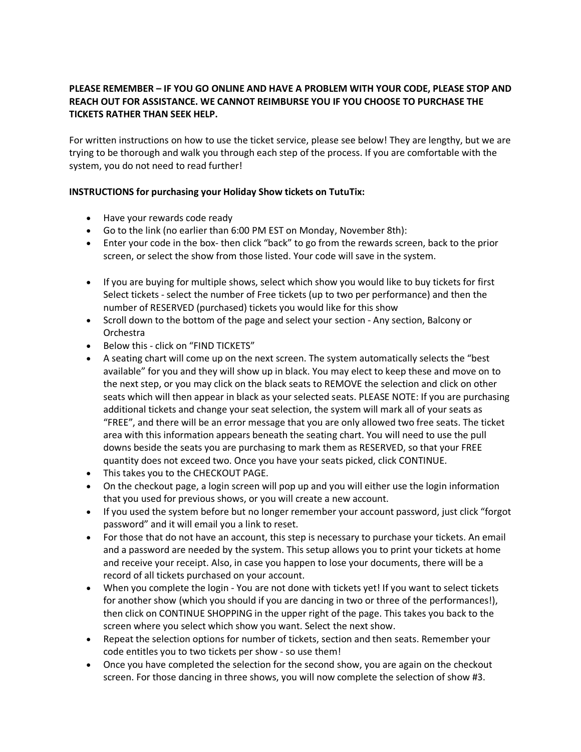# **PLEASE REMEMBER – IF YOU GO ONLINE AND HAVE A PROBLEM WITH YOUR CODE, PLEASE STOP AND REACH OUT FOR ASSISTANCE. WE CANNOT REIMBURSE YOU IF YOU CHOOSE TO PURCHASE THE TICKETS RATHER THAN SEEK HELP.**

For written instructions on how to use the ticket service, please see below! They are lengthy, but we are trying to be thorough and walk you through each step of the process. If you are comfortable with the system, you do not need to read further!

## **INSTRUCTIONS for purchasing your Holiday Show tickets on TutuTix:**

- Have your rewards code ready
- Go to the link (no earlier than 6:00 PM EST on Monday, November 8th):
- Enter your code in the box-then click "back" to go from the rewards screen, back to the prior screen, or select the show from those listed. Your code will save in the system.
- If you are buying for multiple shows, select which show you would like to buy tickets for first Select tickets - select the number of Free tickets (up to two per performance) and then the number of RESERVED (purchased) tickets you would like for this show
- Scroll down to the bottom of the page and select your section Any section, Balcony or Orchestra
- Below this click on "FIND TICKETS"
- A seating chart will come up on the next screen. The system automatically selects the "best available" for you and they will show up in black. You may elect to keep these and move on to the next step, or you may click on the black seats to REMOVE the selection and click on other seats which will then appear in black as your selected seats. PLEASE NOTE: If you are purchasing additional tickets and change your seat selection, the system will mark all of your seats as "FREE", and there will be an error message that you are only allowed two free seats. The ticket area with this information appears beneath the seating chart. You will need to use the pull downs beside the seats you are purchasing to mark them as RESERVED, so that your FREE quantity does not exceed two. Once you have your seats picked, click CONTINUE.
- This takes you to the CHECKOUT PAGE.
- On the checkout page, a login screen will pop up and you will either use the login information that you used for previous shows, or you will create a new account.
- If you used the system before but no longer remember your account password, just click "forgot password" and it will email you a link to reset.
- For those that do not have an account, this step is necessary to purchase your tickets. An email and a password are needed by the system. This setup allows you to print your tickets at home and receive your receipt. Also, in case you happen to lose your documents, there will be a record of all tickets purchased on your account.
- When you complete the login You are not done with tickets yet! If you want to select tickets for another show (which you should if you are dancing in two or three of the performances!), then click on CONTINUE SHOPPING in the upper right of the page. This takes you back to the screen where you select which show you want. Select the next show.
- Repeat the selection options for number of tickets, section and then seats. Remember your code entitles you to two tickets per show - so use them!
- Once you have completed the selection for the second show, you are again on the checkout screen. For those dancing in three shows, you will now complete the selection of show #3.